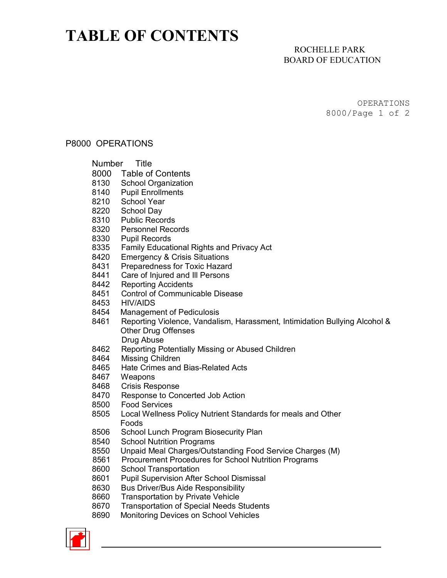# **TABLE OF CONTENTS**

## ROCHELLE PARK BOARD OF EDUCATION

OPERATIONS 8000/Page 1 of 2

#### P8000 OPERATIONS

#### Number Title

- 8000 Table of Contents
- 8130 School Organization<br>8140 Pupil Enrollments
- **Pupil Enrollments**
- 8210 School Year
- 8220 School Day<br>8310 Public Reco
- 8310 Public Records<br>8320 Personnel Reco
- 8320 Personnel Records<br>8330 Pupil Records
- Pupil Records
- 8335 Family Educational Rights and Privacy Act<br>8420 Emergency & Crisis Situations
- 8420 Emergency & Crisis Situations<br>8431 Preparedness for Toxic Hazard
- Preparedness for Toxic Hazard
- 8441 Care of Injured and Ill Persons
- 8442 Reporting Accidents
- 8451 Control of Communicable Disease
- 8453 HIV/AIDS
- 8454 Management of Pediculosis
- 8461 Reporting Violence, Vandalism, Harassment, Intimidation Bullying Alcohol & Other Drug Offenses Drug Abuse
- 8462 Reporting Potentially Missing or Abused Children
- 8464 Missing Children
- 8465 Hate Crimes and Bias-Related Acts
- 8467 Weapons
- 8468 Crisis Response<br>8470 Response to Cor
- Response to Concerted Job Action
- 8500 Food Services
- 8505 Local Wellness Policy Nutrient Standards for meals and Other Foods<br>8506 Schoo
- School Lunch Program Biosecurity Plan
- 8540 School Nutrition Programs
- 8550 Unpaid Meal Charges/Outstanding Food Service Charges (M)<br>8561 Procurement Procedures for School Nutrition Programs
- Procurement Procedures for School Nutrition Programs
- 8600 School Transportation
- 8601 Pupil Supervision After School Dismissal
- 8630 Bus Driver/Bus Aide Responsibility
- 8660 Transportation by Private Vehicle
- 8670 Transportation of Special Needs Students
- 8690 Monitoring Devices on School Vehicles